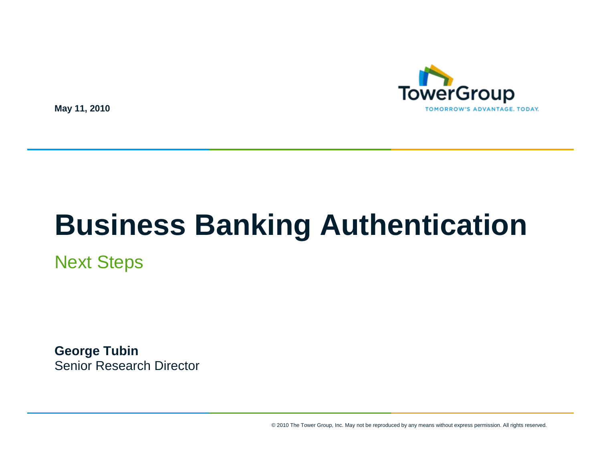

**May 11, 2010**

# **Business Banking Authentication**

Next Steps

**George Tubin** Senior Research Director

© 2010 The Tower Group, Inc. May not be reproduced by any means without express permission. All rights reserved.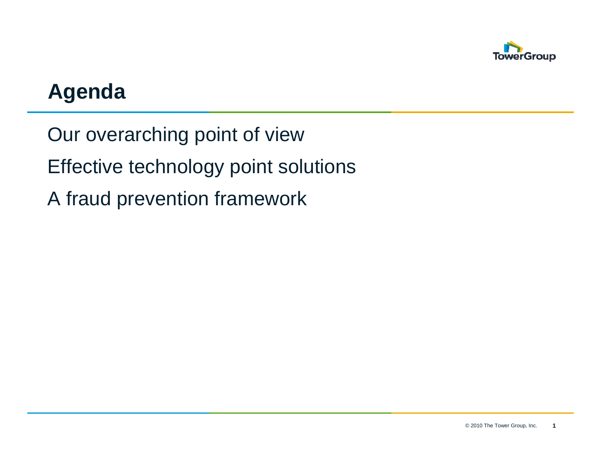

## **Agenda**

Our overarching point of view Effective technology point solutions A fraud prevention framework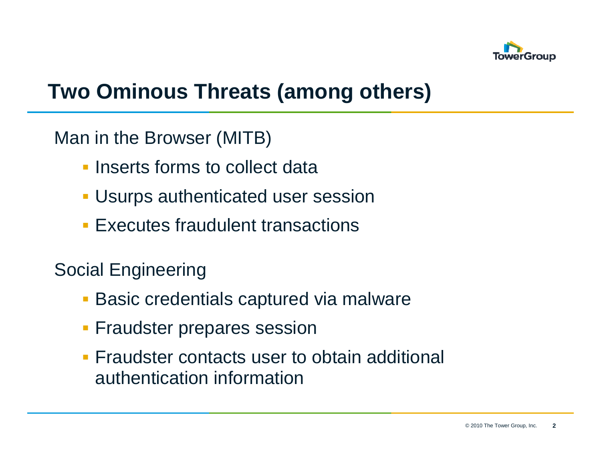

## **Two Ominous Threats (among others)**

#### Man in the Browser (MITB)

- **Inserts forms to collect data**
- Usurps authenticated user session
- **Executes fraudulent transactions**

#### Social Engineering

- **Basic credentials captured via malware**
- **Fraudster prepares session**
- **Fraudster contacts user to obtain additional** authentication information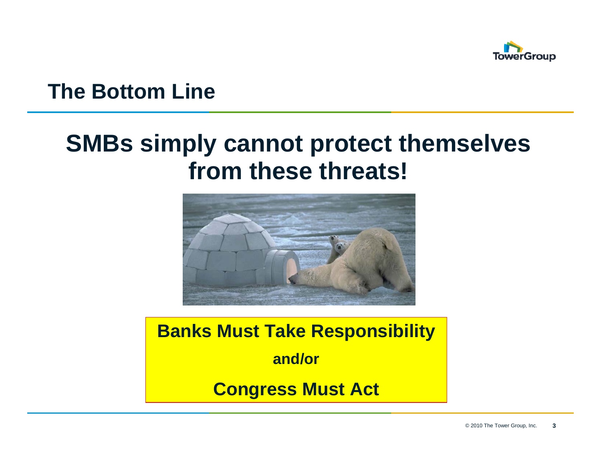

#### **The Bottom Line**

## **SMBs simply cannot protect themselves from these threats!**



**Banks Must Take Responsibility and/orCongress Must Act**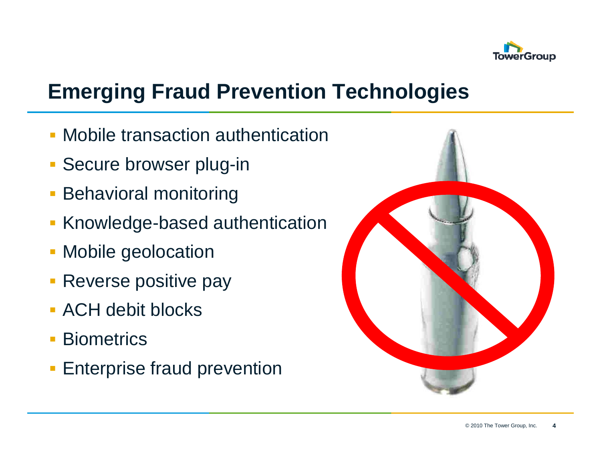

## **Emerging Fraud Prevention Technologies**

- Mobile transaction authentication
- **Secure browser plug-in**
- Behavioral monitoring
- Knowledge-based authentication
- Mobile geolocation
- **Reverse positive pay**
- **ACH debit blocks**
- **Biometrics**
- **Enterprise fraud prevention**

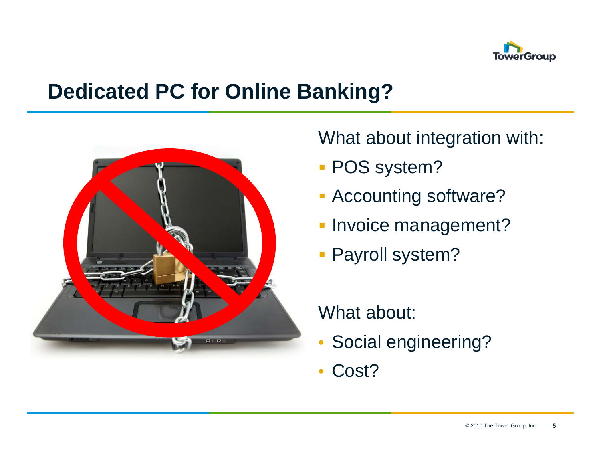

#### **Dedicated PC for Online Banking?**



What about integration with:

- POS system?
- **Accounting software?**
- **Invoice management?**
- Payroll system?

#### What about:

- •Social engineering?
- •Cost?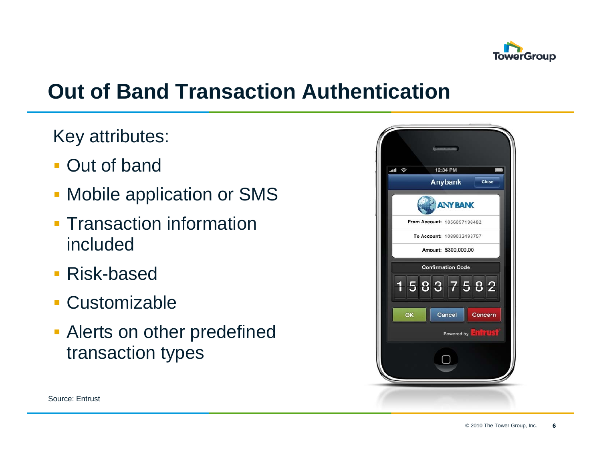

## **Out of Band Transaction Authentication**

Key attributes:

- Out of band
- Mobile application or SMS
- **Transaction information** included
- Risk-based
- **Customizable**
- **Alerts on other predefined** transaction types

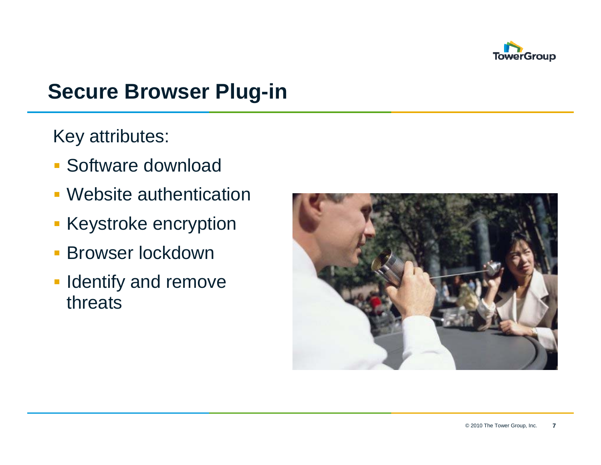

## **Secure Browser Plug-in**

Key attributes:

- Software download
- Website authentication
- Keystroke encryption
- $\overline{\phantom{a}}$ Browser lockdown
- **I** Identify and remove threats

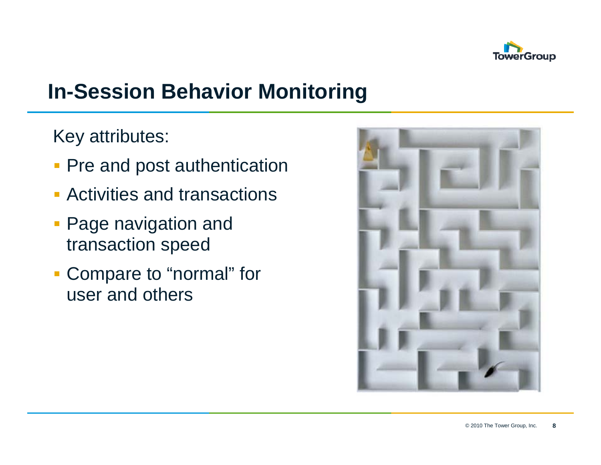

## **In-Session Behavior Monitoring**

Key attributes:

- **Pre and post authentication**
- Activities and transactions
- **Page navigation and** transaction speed
- **Compare to "normal" for** user and others

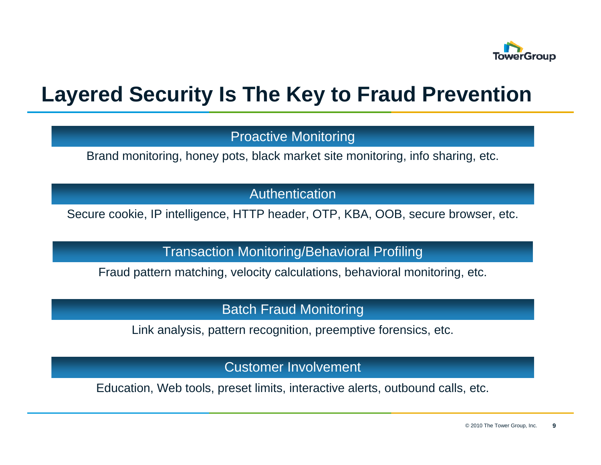

### **Layered Security Is The Key to Fraud Prevention**

Proactive Monitoring

Brand monitoring, honey pots, black market site monitoring, info sharing, etc.

Authentication

Secure cookie, IP intelligence, HTTP header, OTP, KBA, OOB, secure browser, etc.

Transaction Monitoring/Behavioral Profiling

Fraud pattern matching, velocity calculations, behavioral monitoring, etc.

Batch Fraud Monitoring

Link analysis, pattern recognition, preemptive forensics, etc.

Customer Involvement

Education, Web tools, preset limits, interactive alerts, outbound calls, etc.